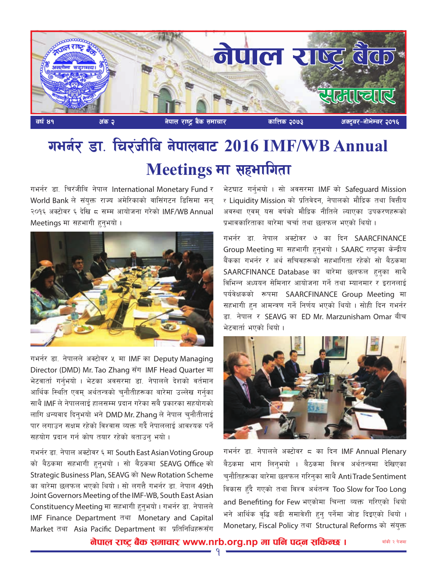

## गमर्नर डा. चिरंजीबि नेपालबाट 2016 IMF/WB Annual **Meetings मा सहभागिता**

गभर्नर डा. चिरंजीबि नेपाल International Monetary Fund र World Bank ले संयक्त राज्य अमेरिकाको वासिंगटन डिसिमा सन २०१६ अक्टोवर ६ देखि ८ सम्म आयोजना गरेको IMF/WB Annual Meetings मा सहभागी हनभयो।



गभर्नर डा. नेपालले अक्टोवर ५ मा IMF का Deputy Managing Director (DMD) Mr. Tao Zhang सँग IMF Head Quarter मा भेटवार्ता गर्नभयो । भेटका अवसरमा डा. नेपालले देशको वर्तमान आर्थिक स्थिति एवम अर्थतन्त्रको चनौतीहरूका बारेमा उल्लेख गर्नका साथै IMF ले नेपाललाई हालसम्म प्रदान गरेका सबै प्रकारका सहयोगको लागि धन्यवाद दिनभयो भने DMD Mr. Zhang ले नेपाल चुनौतीलाई पार लगाउन सक्षम रहेको विश्वास व्यक्त गर्दै नेपाललाई आवश्यक पर्ने सहयोग प्रदान गर्न कोष तयार रहेको बताउन् भयो।

गभर्नर डा. नेपाल अक्टोवर ६ मा South East Asian Voting Group को बैठकमा सहभागी हुनुभयो । सो बैठकमा SEAVG Office को Strategic Business Plan, SEAVG को New Rotation Scheme का बारेमा छलफल भएको थियो। सो लगत्तै गभर्नर डा. नेपाल 49th Joint Governors Meeting of the IMF-WB, South East Asian Constituency Meeting मा सहभागी हन्भयो। गभर्नर डा. नेपालले IMF Finance Department तथा Monetary and Capital Market तथा Asia Pacific Department का प्रतिनिधिहरूसँग

भेटघाट गर्नुभयो । सो अवसरमा IMF को Safeguard Mission र Liquidity Mission को प्रतिवेदन, नेपालको मौद्रिक तथा वित्तीय अवस्था एवम यस वर्षको मौद्रिक नीतिले ल्याएका उपकरणहरूको प्रभावकारिताका बारेमा चर्चा तथा छलफल भएको थियो।

गभर्नर डा. नेपाल अक्टोवर ७ का दिन SAARCFINANCE Group Meeting मा सहभागी हनुभयो । SAARC राष्ट्रका केन्द्रीय बैंकका गभर्नर र अर्थ सचिवहरूको सहभागिता रहेको सो बैठकमा SAARCFINANCE Database का बारेमा छलफल हनका साथै विभिन्न अध्ययन सेमिनार आयोजना गर्ने तथा म्यानमार र इरानलाई पर्यवेक्षकको रूपमा SAARCFINANCE Group Meeting मा सहभागी हुन आमन्त्रण गर्ने निर्णय भएको थियो । सोही दिन गभर्नर डा. नेपाल र SEAVG का ED Mr. Marzunisham Omar बीच भेटवार्ता भएको थियो ।



गभर्नर डा. नेपालले अक्टोवर  $\epsilon$  का दिन IMF Annual Plenary बैठकमा भाग लिन्भयो । बैठकमा विश्व अर्थतन्त्रमा देखिएका चनौतिहरूका बारेमा छलफल गरिनुका साथै AntiTrade Sentiment विकास हुँदै गएको तथा विश्व अर्थतन्त्र Too Slow for Too Long and Benefiting for Few भएकोमा चिन्ता व्यक्त गरिएको थियो भने आर्थिक वृद्धि बढी समावेशी हुन् पर्नेमा जोड दिइएको थियो । Monetary, Fiscal Policy तथा Structural Reforms को संयुक्त

<u>नेपाल राष्ट्र बैंक समाचार www.nrb.org.np मा पनि पदन सकिन्छ ।</u>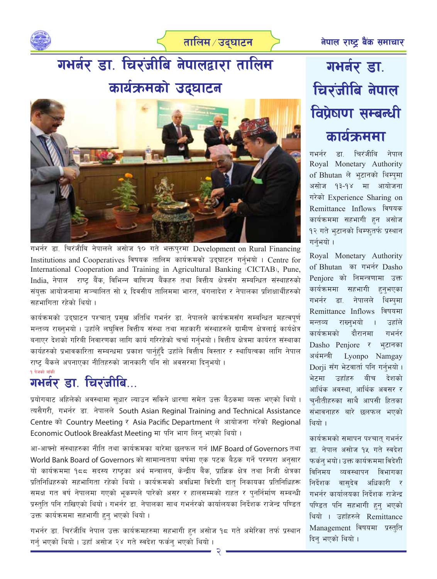

तालिम ∕ उद्**घाटन** 

# गमर्नर डा. चिरंजीबि नेपालद्वारा तालिम कार्यक्रमको उद्घाटन



गभर्नर डा. चिरंजीबि नेपालले असोज १० गते भक्तपुरमा Development on Rural Financing Institutions and Cooperatives विषयक तालिम कार्यक्रमको उद्घाटन गर्नुभयो । Centre for International Cooperation and Training in Agricultural Banking (CICTAB), Pune, India, नेपाल राष्ट बैंक, विभिन्न वाणिज्य बैंकहरु तथा वित्तीय क्षेत्रसँग सम्बन्धित संस्थाहरुको संयुक्त आयोजनामा सञ्चालित सो ५ दिवसीय तालिममा भारत, बंगलादेश र नेपालका प्रशिक्षार्थीहरुको सहभागिता रहेको थियो ।

कार्यक्रमको उद्घाटन पश्चात् प्रमुख अतिथि गभर्नर डा. नेपालले कार्यक्रमसँग सम्बन्धित महत्वपूर्ण मन्तव्य राख्नुभयो । उहाँले लघुवित्त वित्तीय संस्था तथा सहकारी संस्थाहरुले ग्रामीण क्षेत्रलाई कार्यक्षेत्र बनाएर देशको गरिबी निवारणका लागि कार्य गरिरहेको चर्चा गर्नुभयो । वित्तीय क्षेत्रमा कार्यरत संस्थाका कार्यहरुको प्रभावकारिता सम्बन्धमा प्रकाश पार्नुहुँदै उहाँले वित्तीय विस्तार र स्थायित्वका लागि नेपाल राष्ट बैंकले अपनाएका नीतिहरुको जानकारी पनि सो अवसरमा दिनभयो।

### १ पेजको बाँकी गभर्नर डा. चिरंजीबि...

प्रयोगबाट अहिलेको अवस्थामा सुधार ल्याउन सकिने धारणा समेत उक्त बैठकमा व्यक्त भएको थियो । त्यसैगरी, गभर्नर डा. नेपालले South Asian Reginal Training and Technical Assistance Centre को Country Meeting र Asia Pacific Department ले आयोजना गरेको Regional Economic Outlook Breakfast Meeting मा पनि भाग लिन् भएको थियो।

आ-आफ्नो संस्थाहरुका नीति तथा कार्यक्रमका बारेमा छलफल गर्न IMF Board of Governors तथा World Bank Board of Governors को सामान्यतया बर्षमा एक पटक बैठक गर्ने परम्परा अनुसार यो कार्यक्रममा १८८ सदस्य राष्ट्रका अर्थ मन्त्रालय, केन्द्रीय बैंक, प्राज्ञिक क्षेत्र तथा निजी क्षेत्रका प्रतिनिधिहरुको सहभागिता रहेको थियो । कार्यक्रमको अवधिमा विदेशी दात् निकायका प्रतिनिधिहरू समक्ष गत वर्ष नेपालमा गएको भूकम्पले पारेको असर र हालसम्मको राहत र पुनर्निर्माण सम्बन्धी प्रस्तुति पनि राखिएको थियो । गभर्नर डा. नेपालका साथ गभर्नरको कार्यालयका निर्देशक राजेन्द्र पण्डित उक्त कार्यक्रममा सहभागी हुनु भएको थियो ।

गभर्नर डा. चिरंजीबि नेपाल उक्त कार्यक्रमहरुमा सहभागी हुन असोज १८ गते अमेरिका तर्फ प्रस्थान गर्न् भएको थियो । उहाँ असोज २४ गते स्वदेश फर्कन् भएको थियो ।

## गभर्नर डा. चिरंजीबि नेपाल विप्रेषण सम्बन्धी कार्यक्रममा

गभर्नर डा चिरंजीबि नेपाल Royal Monetary Authority of Bhutan ले भुटानको थिम्पुमा असोज १३-१४ मा आयोजना गरेको Experience Sharing on Remittance Inflows विषयक कार्यक्रममा सहभागी हुन असोज १२ गते भुटानको थिम्फुतर्फ प्रस्थान गर्नभयो ।

Royal Monetary Authority of Bhutan का गभर्नर Dasho Penjore को निमन्त्रणामा उक्त कार्यक्रममा सहभागी हनभएका गभर्नर डा. नेपालले थिम्पमा Remittance Inflows विषयमा राख्नभयो मन्तव्य उहाँले कार्यक्रमको दौरानमा गभर्नर Dasho Penjore र भटानका अर्थमन्त्री Lyonpo Namgay Dorji सँग भेटवार्ता पनि गर्नुभयो। भेटमा उहाँहरु बीच देशको आर्थिक अवस्था, आर्थिक अवसर र च्**नौतीहरुका साथै आपसी हित**का संभावनाहरु बारे छलफल भएको थियो ।

कार्यक्रमको समापन पश्चात् गभर्नर डा. नेपाल असोज १५ गते स्वदेश फर्कन् भयो। उक्त कार्यक्रममा विदेशी विनिमय व्यवस्थापन विभागका निर्देशक वासदेव अधिकारी र गभर्नर कार्यालयका निर्देशक राजेन्द्र पण्डित पनि सहभागी हुन भएको थियो । उहाँहरुले Remittance Management विषयमा प्रस्तुति दिन् भएको थियो ।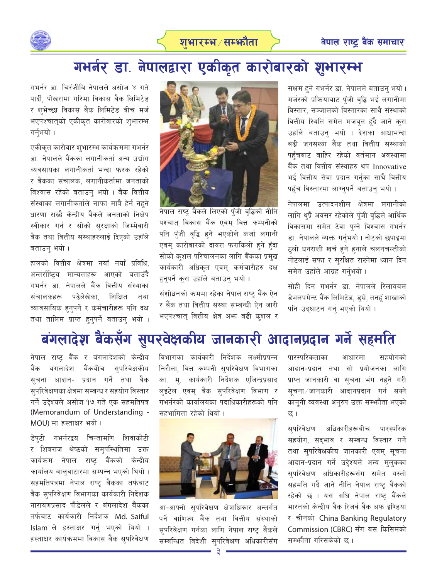

## गभर्नर डा. नेपालद्वारा एकीकृत कारोबारको शुभारम्भ

गभर्नर डा. चिरंजीबि नेपालले असोज ४ गते पार्दी. पोखरामा गरिमा विकास बैंक लिमिटेड र शुभेच्छा विकास बैंक लिमिटेड बीच मर्ज भएपश्चातको एकीकृत कारोवारको शुभारम्भ गर्नुभयो ।

एकीकृत कारोवार शुभारम्भ कार्यक्रममा गभर्नर डा. नेपालले बैंकका लगानीकर्ता अन्य उद्योग व्यवसायका लगानीकर्ता भन्दा फरक रहेको र बैंकका संचालक, लगानीकर्तामा जनताको विश्वास रहेको बताउन् भयो । बैंक वित्तीय संस्थाका लगानीकर्ताले नाफा मात्रै हेर्न नहने धारणा राख्दै केन्द्रीय बैंकले जनताको निक्षेप स्वीकार गर्न र सोको सरक्षाको जिम्मेवारी बैंक तथा वित्तीय संस्थाहरुलाई दिएको उहाँले बताउन भयो।

हालको वित्तीय क्षेत्रमा नयाँ नयाँ प्रविधि. अन्तर्राष्टिय मान्यताहरू आएको बताउँदै गभर्नर डा. नेपालले बैंक वित्तीय संस्थाका संचालकहरू पढेलेखेका. शिक्षित तथा व्यावसायिक हुनुपर्ने र कर्मचारीहरू पनि दक्ष तथा तालिम प्राप्त हुनुपर्ने बताउन् भयो ।



नेपाल राष्ट बैंकले लिएको पँजी वद्धिको नीति पश्चात् विकास बैंक एवम् वित्त कम्पनीको पनि पँजी वृद्धि हुने भएकोले कर्जा लगानी एवम् कारोबारको दायरा फराकिलो हुने हुँदा सोको क्शल परिचालनका लागि बैंकका प्रमुख कार्यकारी अधिकृत एवम् कर्मचारीहरु दक्ष हन्पर्ने क्रा उहाँले बताउन् भयो।

संशोधनको क्रममा रहेका नेपाल राष्ट् बैंक ऐन र बैंक तथा वित्तीय संस्था सम्बन्धी ऐन जारी भएपश्चात् वित्तीय क्षेत्र अफ्त बढी क्शल र

सक्षम हुने गभर्नर डा. नेपालले बताउनु भयो । मर्जरको प्रक्रियाबाट पँजी वृद्धि भई लगानीमा विस्तार, सञ्जालको विस्तारका साथै संस्थाको वित्तीय स्थिति समेत मजब्त हुँदै जाने क्रा उहाँले बताउन् भयो । देशका आधाभन्दा बढी जनसंख्या बैंक तथा वित्तीय संस्थाको पहँचबाट बाहिर रहेको वर्तमान अवस्थामा बैंक तथा वित्तीय संस्थाहरु थप Innovative भई वित्तीय सेवा प्रदान गर्नका साथै वित्तीय पहँच विस्तारमा लाग्नुपर्ने बताउन् भयो।

नेपालमा उत्पादनशील क्षेत्रमा लगानीको लागि थुप्रै अवसर रहेकोले पँजी वद्धिले आर्थिक विकासमा समेत टेवा पुग्ने विश्वास गभर्नर डा. नेपालले व्यक्त गर्नुभयो । नोटको छपाइमा ठुलो धनराशी खर्च हुने हुनाले चलनचल्तीको नोटलाई सफा र सुरक्षित राख्नेमा ध्यान दिन समेत उहाँले आग्रह गर्नुभयो।

सोही दिन गभर्नर डा. नेपालले रिलायबल डेभलपमेन्ट बैंक लिमिटेड, डुम्रे, तनहुँ शाखाको पनि उदघाटन गर्न भएको थियो।

### बंगलादेश बैंकसँग सुपरवेक्षकीय जानकारी आदानप्रदान गर्ने सहमति

नेपाल राष्ट बैंक र बंगलादेशको केन्द्रीय बैंक बंगलादेश बैंकबीच सुपरिवेक्षकीय सूचना आदान- प्रदान गर्ने तथा बैंक सुपरिवेक्षणका क्षेत्रमा सम्बन्ध र सहयोग विस्तार गर्ने उद्देश्यले असोज १७ गते एक सहमतिपत्र (Memorandum of Understanding -MOU) मा हस्ताक्षर भयो।

डेपटी गभर्नरद्वय चिन्तामणि शिवाकोटी र शिबराज श्रेष्ठको समुपस्थितिमा उक्त कार्यक्रम नेपाल राष्ट् बैंकको केन्द्रीय कार्यालय बालुवाटारमा सम्पन्न भएको थियो । सहमतिपत्रमा नेपाल राष्ट् बैंकका तर्फबाट बैंक सुपरिवेक्षण विभागका कार्यकारी निर्देशक नारायणप्रसाद पौडेलले र बंगलादेश बैंकका तर्फबाट कार्यकारी निर्देशक Md. Saiful Islam ले हस्ताक्षर गर्नु भएको थियो । हस्ताक्षर कार्यक्रममा विकास बैंक सुपरिवेक्षण विभागका कार्यकारी निर्देशक लक्ष्मीप्रपन्न निरौला, वित्त कम्पनी सुपरिवेक्षण विभागका का. मु. कार्यकारी निर्देशक एजिन्द्रप्रसाद लुइटेल एवम् बैंक सुपरिवेक्षण विभाग र गभर्नरको कार्यालयका पदाधिकारीहरूको पनि सहभागिता रहेको थियो ।



आ-आफ्नो सुपरिवेक्षण क्षेत्राधिकार अन्तर<mark>्ग</mark>त पर्ने वाणिज्य बैंक तथा वित्तीय संस्थाको सुपरिवेक्षण गर्नका लागि नेपाल राष्ट् बैंकले सम्बन्धित विदेशी सुपरिवेक्षण अधिकारीसँग

पारस्परिकताका सहयोगको आधारमा आदान-प्रदान तथा सो प्रयोजनका लागि प्राप्त जानकारी वा सूचना भंग नहने गरी सुचना ∕ जानकारी आदानप्रदान गर्न सक्ने कानूनी व्यवस्था अनुरुप उक्त सम्फौता भएको छ ।

सपरिवेक्षण अधिकारीहरूबीच पारस्परिक सहयोग, सदभाव र सम्बन्ध विस्तार गर्ने तथा सुपरिवेक्षकीय जानकारी एवम् सूचना आदान-प्रदान गर्ने उद्देश्यले अन्य मुलुकका सुपरिवेक्षण अधिकारीहरूसँग समेत यस्तो सहमति गर्दै जाने नीति नेपाल राष्ट्र बैंकको रहेको छ । यस अघि नेपाल राष्ट् बैंकले भारतको केन्द्रीय बैंक रिजर्व बैंक अफ इण्डिया र चीनको China Banking Regulatory Commission (CBRC) सँग यस किसिमको सम्भौता गरिसकेको छ ।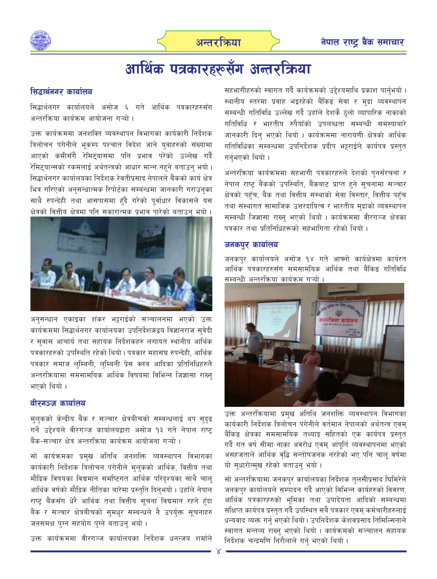



## आर्थिक पत्रकारहरूसँग अन्तरक्रिया

### सिद्धार्थनगर कार्यालय

सिद्धार्थनगर कार्यालयले असोज ६ गते आर्थिक पत्रकारहरुसँग अन्तरक्रिया कार्यक्रम आयोजना गऱ्यो ।

उक्त कार्यक्रममा जनशक्ति व्यवस्थापन विभागका कार्यकारी निर्देशक त्रिलोचन पंगेनीले भुकम्प पश्चात विदेश जाने युवाहरुको संख्यामा आएको कमीसँगै रेमिटयासमा पनि प्रभाव परेको उल्लेख गर्दै रेमिट्यान्सको रकमलाई अर्थतन्त्रको आधार मान्न नहने बताउन् भयो। सिद्धार्थनगर कार्यालयका निर्देशक रेवतीप्रसाद नेपालले बैंकको कार्य क्षेत्र भित्र गरिएको अनुसन्धात्मक रिपोर्टका सम्बन्धमा जानकारी गराउनुका साथै रुपन्देही तथा आसपासमा हुँदै गरेको पुर्वाधार विकासले यस क्षेत्रको वित्तीय क्षेत्रमा पनि सकारात्मक प्रभाव पारेको बताउन भयो ।



अनुसन्धान एकाइका शंकर भट्टराईको सञ्चालनमा भएको उक्त कार्यक्रममा सिद्धार्थनगर कार्यालयका उपनिर्देशकद्वय विज्ञानराज सुवेदी र सुवास आचार्य तथा सहायक निर्देशकहरु लगायत स्थानीय आर्थिक पत्रकारहरुको उपस्थिति रहेको थियो । पत्रकार महासंघ रुपन्देही, आर्थिक पत्रकार समाज लम्बिनी, लम्बिनी प्रेस क्लब आदिका प्रतिनिधिहरुले अन्तरक्रियामा समसामयिक आर्थिक विषयमा विभिन्न जिज्ञासा राख्न भएको थियो ।

### वीरगञ्ज कार्यालय

मुलुकको केन्द्रीय बैंक र सञ्चार क्षेत्रबीचको सम्बन्धलाई थप सुदुढ गर्ने उद्देश्यले वीरगञ्ज कार्यालयद्वारा असोज १३ गते नेपाल राष्ट् बैंक-सञ्चार क्षेत्र अन्तरक्रिया कार्यक्रम आयोजना गऱ्यो ।

सो कार्यक्रमका प्रमुख अतिथि जनशक्ति व्यवस्थापन विभागका कार्यकारी निर्देशक त्रिलोचन पंगेनीले मुलुकको आर्थिक, वित्तीय तथा मौद्रिक विषयका विद्यमान समष्टिगत आर्थिक परिदृश्यका साथै चालू आर्थिक वर्षको मौद्रिक नीतिका बारेमा प्रस्तुति दिनुभयो । उहाँले नेपाल राष्ट्र बैंकसँग धेरै आर्थिक तथा वित्तीय सूचना विद्यमान रहने हुँदा बैंक र सञ्चार क्षेत्रबीचको सुमधुर सम्बन्धले नै उपर्युक्त सूचनाहर<mark>ु</mark> जनसमक्ष पुग्न सहयोग पुग्ने बताउन् भयो।

उक्त कार्यक्रममा वीरगञ्ज कार्यालयका निर्देशक धनन्जय शर्माले

सहभागीहरुको स्वागत गर्दै कार्यक्रमको उद्देश्यमाथि प्रकाश पार्नुभयो । स्थानीय स्तरमा प्रवाह भइरहेको बैंकिङ सेवा र मुद्रा व्यवस्थापन सम्बन्धी गतिविधि उल्लेख गर्दै उहाँले देशकै ठलो व्यापारिक नाकाको गतिविधि र भारतीय रुपैयाँको उपलब्धता सम्बन्धी समस्याबारे जानकारी दिन भएको थियो । कार्यक्रममा नारायणी क्षेत्रको आर्थिक गतिविधिका सम्बन्धमा उपनिर्देशक प्रदीप भट्टराईले कार्यपत्र प्रस्तुत गर्नभएको थियो ।

अन्तरक्रिया कार्यक्रममा सहभागी पत्रकारहरुले देशको पुनर्संरचना र नेपाल राष्ट्र बैंकको उपस्थिति, बैंकबाट प्राप्त हुने सूचनामा सञ्चार क्षेत्रको पहुँच, बैंक तथा वित्तीय संस्थाको सेवा विस्तार, वित्तीय पहुँच तथा संस्थागत सामाजिक उत्तरदायित्व र भारतीय मद्राको व्यवस्थापन सम्बन्धी जिज्ञासा राख्न भएको थियो । कार्यक्रममा वीरगञ्ज क्षेत्रका पत्रकार तथा प्रतिनिधिहरूको सहभागिता रहेको थियो ।

### जनकपुर कार्यालय

जनकपुर कार्यालयले असोज १४ गते आफ्नो कार्यक्षेत्रमा कार्यरत आर्थिक पत्रकारहरुसँग समसामयिक आर्थिक तथा बैंकिङ गतिविधि सम्बन्धी अन्तरक्रिया कार्यक्रम गऱ्यो ।



उक्त अन्तरक्रियामा प्रमुख अतिथि जनशक्ति व्यवस्थापन विभागका कार्यकारी निर्देशक त्रिलोचन पंगेनीले वर्तमान नेपालको अर्थतन्त्र एवम बैंकिङ क्षेत्रका समसामयिक तथ्याङ्क सहितको एक कार्यपत्र प्रस्तुत गर्दै गत वर्ष सीमा नाका अवरोध एवम् आपूर्ति व्यवस्थापनमा भएको असहजताले आर्थिक वृद्धि सन्तोषजनक नरहेको भए पनि चालु वर्षमा यो सुधारोन्मुख रहेको बताउन् भयो।

सो अन्तरक्रियामा जनकपुर कार्यालयका निर्देशक तुलसीप्रसाद घिमिरेले जनकपुर कार्यालयले सम्पादन गर्दै आएको विभिन्न कार्यहरुको विवरण, आर्थिक पत्रकारहरुको भूमिका तथा उपादेयता आदिको सम्बन्धमा संक्षिप्त कार्यपत्र प्रस्तुत गर्दै उपस्थित सबै पत्रकार एवम् कर्मचारीहरुलाई धन्यवाद व्यक्त गर्नु भएको थियो। उपनिर्देशक केशवप्रसाद तिमिल्सिनाले स्वागत मन्तव्य राख्न् भएको थियो । कार्यक्रमको सञ्चालन सहायक निर्देशक चन्द्रमणि निरौलाले गर्न् भएको थियो ।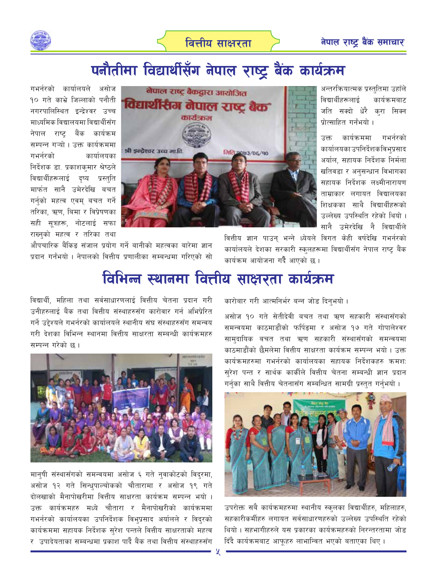

## पनौतीमा विद्यार्थीसँग नेपाल राष्ट्र बैंक कार्यक्रम

गभर्नरको कार्यालयले असोज १० गते काभ्रे जिल्लाको पनौती नगरपालिस्थित इन्द्रेश्वर उच्च माध्यमिक विद्यालयमा विद्यार्थीसँग नेपाल राष्ट बैंक कार्यक्रम सम्पन्न गऱ्यो । उक्त कार्यक्रममा गभर्नरको कार्यालयका निर्देशक डा. प्रकाशकुमार श्रेष्ठले विद्यार्थीहरूलाई दृष्य प्रस्तुति मार्फत सानै उमेरदेखि बचत गर्नको महत्व एवम् बचत गर्ने तरिका, ऋण, बिमा र विप्रेषणका सही सूत्रहरू, नोटलाई सफा राख्नुको महत्व र तरिका तथा



औपचारिक बैंकिङ संजाल प्रयोग गर्ने बानीको महत्वका बारेमा ज्ञान प्रदान गर्नंभयो । नेपालको वित्तीय प्रणालीका सम्बन्धमा गरिएको सो अन्तरक्रियात्मक प्रस्तुतिमा उहाँले विद्यार्थीहरूलाई कार्यक्रमबाट जति सक्दो धेरै कुरा सिक्न पोत्साहित गर्नभयो ।

उक्त कार्यक्रममा गभर्नरको कार्यालयका उपनिर्देशकविभुप्रसाद अर्याल, सहायक निर्देशक निर्मला खतिवडा र अनुसन्धान विभागका सहायक निर्देशक लक्ष्मीनारायण ताम्राकार लगायत विद्यालयका शिक्षकका साथै विद्यार्थीहरूको उल्लेख्य उपस्थिति रहेको थियो । सानै उमेरदेखि नै विद्यार्थीले

वित्तीय ज्ञान पाउन् भन्ने ध्येयले विगत केही वर्षदेखि गभर्नरको कार्यालयले देशका सरकारी स्कुलहरूमा विद्यार्थीसँग नेपाल राष्ट्र बैंक कार्यक्रम आयोजना गर्दै आएको छ ।

## विभिन्न स्थानमा वित्तीय साक्षरता कार्यक्रम

विद्यार्थी, महिला तथा सर्वसाधारणलाई वित्तीय चेतना प्रदान गरी उनीहरुलाई बैंक तथा वित्तीय संस्थाहरुसँग कारोवार गर्न अभिप्रेरित गर्ने उद्देश्यले गभर्नरको कार्यालयले स्थानीय संघ संस्थाहरुसँग समन्वय गरी देशका विभिन्न स्थानमा वित्तीय साक्षरता सम्बन्धी कार्यक्रमहरु सम्पन्न गरेको छ ।



मानुषी संस्थासँगको समन्वयमा असोज ६ गते नुवाकोटको विदुरमा, असोज १२ गते सिन्धुपाल्चोकको चौतारामा र असोज १९ गते दोलखाको मैनापोखरीमा वित्तीय साक्षरता कार्यक्रम सम्पन्न भयो । उक्त कार्यक्रमहरु मध्ये चौतारा र मैनापोखरीको कार्यक्रममा गभर्नरको कार्यालयका उपनिर्देशक विभुप्रसाद अर्यालले र विदुरको कार्यक्रममा सहायक निर्देशक सुरेश पन्तले वित्तीय साक्षरताको महत्व र उपादेयताका सम्बन्धमा प्रकाश पार्दै बैंक तथा वित्तीय संस्थाहरुसँग कारोबार गरी आत्मनिर्भर बन्न जोड दिनभयो।

असोज १० गते सेतीदेवी बचत तथा ऋण सहकारी संस्थासँगको समन्वयमा काठमाडौंको फर्पिङमा र असोज १७ गते गोपालेश्वर सामुदायिक बचत तथा ऋण सहकारी संस्थासँगको समन्वयमा काठमाडौंको छैमलेमा वित्तीय साक्षरता कार्यक्रम सम्पन्न भयो । उक्त कार्यक्रमहरुमा गभर्नरको कार्यालयका सहायक निर्देशकहरु क्रमशः सुरेश पन्त र सार्थक कार्कीले वित्तीय चेतना सम्बन्धी ज्ञान प्रदान गर्नुका साथै वित्तीय चेतनासँग सम्बन्धित सामग्री प्रस्तुत गर्नुभयो ।



उपरोक्त सबै कार्यक्रमहरुमा स्थानीय स्कुलका विद्यार्थीहरु, महिलाहरु, सहकारीकर्मीहरु लगायत सर्वसाधारणहरुको उल्लेख्य उपस्थिति रहेको थियो । सहभागीहरुले यस प्रकारका कार्यक्रमहरुको निरन्तरतामा जोड दिंदै कार्यक्रमबाट आफूहरु लाभान्वित भएको बताएका थिए।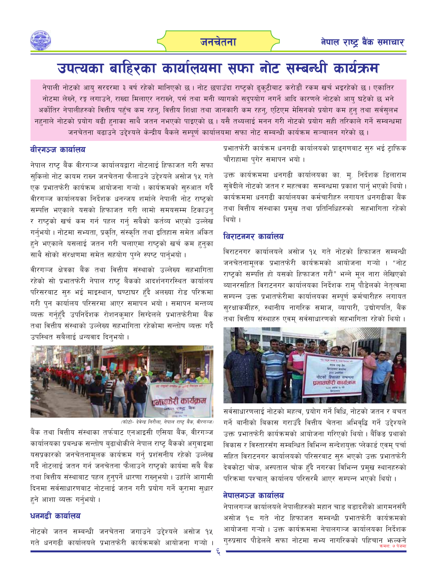

### उपत्यका बाहिरका कार्यालयमा सफा नोट सम्बन्धी कार्यक्रम

नेपाली नोटको आयु सरदरमा ३ वर्ष रहेको मानिएको छ । नोट छपाउँदा राष्ट्रको ढुकुटीबाट करोडौं रकम खर्च भइरहेको छ । एकातिर नोटमा लेख्ने, रङ्ग लगाउने, राख्दा मिलाएर नराख्ने, पर्स तथा मनी ब्यागको सदुपयोग नगर्ने आदि कारणले नोटको आयु घटेको छ भने अर्कोतिर नेपालीहरुको वित्तीय पहुँच कम रहन्, वित्तीय शिक्षा तथा जानकारी कम रहन्, एटिएम मेसिनको प्रयोग कम हुन् तथा सर्वसुलभ नहनाले नोटको प्रयोग बढी हनाका साथै जतन नभएको पाइएको छ। यसै तथ्यलाई मनन गरी नोटको प्रयोग सही तरिकाले गर्ने सम्बन्धमा जनचेतना बढाउने उद्देश्यले केन्द्रीय बैकले सम्पूर्ण कार्यालयमा सफा नोट सम्बन्धी कार्यक्रम सञ्चालन गरेको छ ।

### वीरगञ्ज कार्यालय

नेपाल राष्ट् बैंक वीरगञ्ज कार्यालयद्वारा नोटलाई हिफाजत गरी सफा सुकिलो नोट कायम राख्न जनचेतना फैलाउने उद्देश्यले असोज १५ गते एक प्रभातफेरी कार्यक्रम आयोजना गऱ्यो । कार्यक्रमको सुरुआत गर्दै वीरगञ्ज कार्यालयका निर्देशक धनन्जय शर्माले नेपाली नोट राष्ट्रको सम्पत्ति भएकाले यसको हिफाजत गरी लामो समयसम्म टिकाउन् र राष्टको खर्च कम गर्न पहल गर्न सबैको कर्तव्य भएको उल्लेख गर्नुभयो। नोटमा सभ्यता, प्रकृति, संस्कृति तथा इतिहास समेत अंकित हुने भएकाले यसलाई जतन गरी चलाएमा राष्ट्रको खर्च कम हुनुका साथै सोको संरक्षणमा समेत सहयोग पग्ने स्पष्ट पार्नभयो।

वीरगञ्ज क्षेत्रका बैंक तथा वित्तीय संस्थाको उल्लेख्य सहभागिता रहेको सो प्रभातफेरी नेपाल राष्ट्र बैंकको आदर्शनगरस्थित कार्यालय परिसरबाट सुरु भई माइस्थान, घण्टाघर हँदै अलख्या रोड परिक्रमा गरी पुन कार्यालय परिसरमा आएर समापन भयो। समापन मन्तव्य व्यक्त गर्नहुँदै उपनिर्देशक रोशनकमार सिग्देलले प्रभातफेरीमा बैंक तथा वित्तीय संस्थाको उल्लेख्य सहभागिता रहेकोमा सन्तोष व्यक्त गर्दै उपस्थित सबैलाई धन्यवाद दिनुभयो ।



(फोटो- देवेन्द्र निरौला, नेपाल राष्ट्र बैंक, वीरगञ्ज)

बैंक तथा वित्तीय संस्थाका तर्फबाट एनआइसी एसिया बैंक, वीरगञ्ज कार्यालयका प्रबन्धक सन्तोष बढाथोकीले नेपाल राष्ट् बैंकको अगुवाइमा यसप्रकारको जनचेतनामूलक कार्यक्रम गर्नु प्रशंसनीय रहेको उल्लेख गर्दै नोटलाई जतन गर्न जनचेतना फैलाउने राष्ट्रको कार्यमा सबै बैंक तथा वित्तीय संस्थाबाट पहल हनुपर्ने धारणा राख्नुभयो । उहाँले आगामी दिनमा सर्वसाधारणबाट नोटलाई जतन गरी प्रयोग गर्ने क्रामा सुधार हने आशा व्यक्त गर्नभयो ।

### धनगढी कार्यालय

नोटको जतन सम्बन्धी जनचेतना जगाउने उद्देश्यले असोज १५ गते धनगढी कार्यालयले प्रभातफेरी कार्यक्रमको आयोजना गऱ्यो । प्रभातफेरी कार्यक्रम धनगढी कार्यालयको प्राङ्गणबाट सुरु भई ट्राफिक चौराहामा पुगेर समापन भयो।

उक्त कार्यक्रममा धनगढी कार्यालयका का. मु. निर्देशक डिलाराम सुवेदीले नोटको जतन र महत्वका सम्बन्धमा प्रकाश पार्नु भएको थियो। कार्यक्रममा धनगढी कार्यालयका कर्मचारीहरु लगायत धनगढीका बैंक तथा वित्तीय संस्थाका प्रमुख तथा प्रतिनिधिहरुको सहभागिता रहेको थियो ।

### विराटनगर कार्यालय

विराटनगर कार्यालयले असोज १५ गते नोटको हिफाजत सम्बन्धी जनचेतनामुलक प्रभातफेरी कार्यक्रमको आयोजना गऱ्यो । "नोट राष्ट्रको सम्पत्ति हो यसको हिफाजत गरौं" भन्ने मूल नारा लेखिएको ब्यानरसहित विराटनगर कार्यालयका निर्देशक राम् पौडेलको नेतृत्वमा सम्पन्न उक्त प्रभातफेरीमा कार्यालयका सम्पूर्ण कर्मचारीहरु लगायत सुरक्षाकर्मीहरु, स्थानीय नागरिक समाज, व्यापारी, उद्योगपति, बैंक तथा वित्तीय संस्थाहरु एवम् सर्वसाधारणको सहभागिता रहेको थियो।



सर्वसाधारणलाई नोटको महत्व, प्रयोग गर्ने विधि, नोटको जतन र बचत गर्ने बानीको बिकास गराउँदै वित्तीय चेतना अभिवद्धि गर्ने उद्देश्यले उक्त प्रभातफेरी कार्यक्रमको आयोजना गरिएको थियो । बैंकिङ प्रथाको विकास र विस्तारसँग सम्बन्धित विभिन्न सन्देशयुक्त प्लेकार्ड एवम् पर्चा सहित विराटनगर कार्यालयको परिसरबाट सुरु भएको उक्त प्रभातफेरी देवकोटा चोक, अस्पताल चोक हुँदै नगरका विभिन्न प्रमुख स्थानहरुको परिक्रमा पश्चात् कार्यालय परिसरमै आएर सम्पन्न भएको थियो ।

#### नेपालगञ्ज कार्यालय

नेपालगञ्ज कार्यालयले नेपालीहरुको महान चाड बडादशैंको आगमनसँगै असोज १८ गते नोट हिफाजत सम्बन्धी प्रभातफेरी कार्यक्रमको आयोजना गऱ्यो । उक्त कार्यक्रममा नेपालगञ्ज कार्यालयका निर्देशक गुरुप्रसाद पौडेलले सफा नोटमा सभ्य नागरिकको पहिचान भूल्कने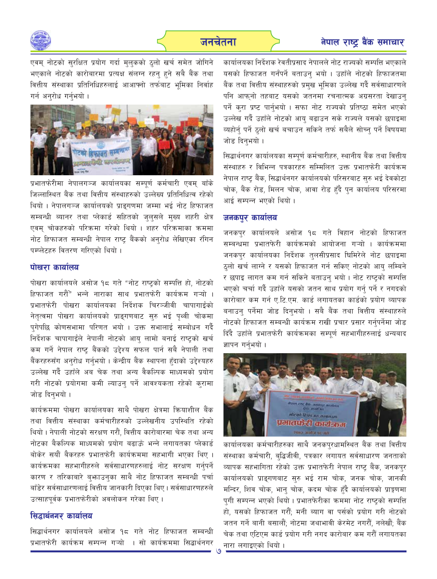

एवम् नोटको सुरक्षित प्रयोग गर्दा मुलुकको ठुलो खर्च समेत जोगिने भएकाले नोटको कारोबारमा प्रत्यक्ष संलग्न रहन् हुने सबै बैंक तथा वित्तीय संस्थाका प्रतिनिधिहरुलाई आआफ्नो तर्फबाट भमिका निर्वाह गर्न अनरोध गर्नुभयो ।



प्रभातफेरीमा नेपालगञ्ज कार्यालयका सम्पर्ण कर्मचारी एवम् बाँके जिल्लास्थित बैंक तथा वित्तीय संस्थाहरुको उल्लेख्य प्रतिनिधित्व रहेको थियो । नेपालगञ्ज कार्यालयको प्राइगणमा जम्मा भई नोट हिफाजत सम्बन्धी ब्यानर तथा प्लेकार्ड सहितको जुलुसले मुख्य शहरी क्षेत्र एवम् चोकहरुको परिक्रमा गरेको थियो । शहर परिक्रमाका क्रममा नोट हिफाजत सम्बन्धी नेपाल राष्ट बैंकको अनुरोध लेखिएका रंगिन पम्प्लेटहरु वितरण गरिएको थियो।

### पोखरा कार्यालय

पोखरा कार्यालयले असोज १८ गते "नोट राष्ट्रको सम्पत्ति हो, नोटको हिफाजत गरौं" भन्ने नाराका साथ प्रभातफेरी कार्यक्रम गऱ्यो । प्रभातफेरी पोखरा कार्यालयका निर्देशक चिरञ्जीवी चापागाईंको नेतृत्वमा पोखरा कार्यालयको प्राइगणबाट सुरु भई पृथ्वी चोकमा प्गेपछि कोणसभामा परिणत भयो । उक्त सभालाई सम्बोधन गर्दै निर्देशक चापागाईले नेपाली नोटको आयु लामो बनाई राष्ट्रको खर्च कम गर्ने नेपाल राष्ट्र बैंकको उद्देश्य सफल पार्न सबै नेपाली तथा बैंकरहरुसँग अनुरोध गर्नुभयो । केन्द्रीय बैंक स्थापना हुँदाको उद्देश्यहरु उल्लेख गर्दै उहाँले अब चेक तथा अन्य वैकल्पिक माध्यमको प्रयोग गरी नोटको प्रयोगमा कमी ल्याउन् पर्ने आवश्यकता रहेको कुरामा जोड दिनुभयो।

कार्यक्रममा पोखरा कार्यालयका साथै पोखरा क्षेत्रमा क्रियाशील बैंक तथा वित्तीय संस्थाका कर्मचारीहरुको उल्लेखनीय उपस्थिति रहेको थियो । नेपाली नोटको सरक्षण गरौं, वित्तीय कारोबारमा चेक तथा अन्य नोटका बैकल्पिक माध्यमको प्रयोग बढाऊँ भन्ने लगायतका प्लेकार्ड बोकेर सयौं बैकरहरु प्रभातफेरी कार्यक्रममा सहभागी भएका थिए । कार्यक्रमका सहभागीहरुले सर्वसाधारणहरुलाई नोट सरक्षण गर्नुपर्ने कारण र तरिकाबारे ब्फाउन्का साथै नोट हिफाजत सम्बन्धी पर्चा बाँडेर सर्वसाधारणलाई वित्तीय जानकारी दिएका थिए । सर्वसाधारणहरुले उत्साहपूर्वक प्रभातफेरीको अवलोकन गरेका थिए ।

### सिद्धार्थनगर कार्यालय

सिद्धार्थनगर कार्यालयले असोज १८ गते नोट हिफाजत सम्बन्धी प्रभातफेरी कार्यक्रम सम्पन्न गऱ्यो । सो कार्यक्रममा सिद्धार्थनगर

कार्यालयका निर्देशक रेवतीप्रसाद नेपालले नोट राज्यको सम्पत्ति भएकाले यसको हिफाजत गर्नंपर्ने बताउन् भयो । उहाँले नोटको हिफाजतमा बैंक तथा वित्तीय संस्थाहरुको प्रमुख भूमिका उल्लेख गर्दै सर्वसाधारणले पनि आफनो तहबाट यसको जतनमा रचनात्मक अग्रसरता देखाउन् पर्ने करा प्रष्ट पार्नभयो । सफा नोट राज्यको प्रतिष्ठा समेत भएको उल्लेख गर्दै उहाँले नोटको आयु बढाउन सके राज्यले यसको छपाइमा व्यहोर्न् पर्ने ठुलो खर्च बचाउन सकिने तर्फ सबैले सोच्न् पर्ने विषयमा जोड दिनभयो।

सिद्धार्थनगर कार्यालयका सम्पूर्ण कर्मचारीहरु, स्थानीय बैंक तथा वित्तीय संस्थाहरु र विभिन्न पत्रकारहरु सम्मिलित उक्त प्रभातफेरी कार्यक्रम नेपाल राष्ट बैंक, सिद्धार्थनगर कार्यालयको परिसरबाट सरु भई देवकोटा चोक, बैंक रोड, मिलन चोक, आवा रोड हुँदै पुन कार्यालय परिसरमा आई सम्पन्न भएको थियो ।

### जनकपुर कार्यालय

जनकपुर कार्यालयले असोज १८ गते विहान नोटको हिफाजत सम्बन्धमा प्रभातफेरी कार्यक्रमको आयोजना गऱ्यो । कार्यक्रममा जनकपुर कार्यालयका निर्देशक तुलसीप्रसाद घिमिरेले नोट छपाइमा ठुलो खर्च लाग्ने र यसको हिफाजत गर्न सकिए नोटको आयु लम्बिने र छपाइ लागत कम गर्न सकिने बताउन् भयो । नोट राष्ट्रको सम्पत्ति भएको चर्चा गर्दै उहाँले यसको जतन साथ प्रयोग गर्न् पर्ने र नगदको कारोबार कम गर्न ए.टि.एम. कार्ड लगायतका कार्डको प्रयोग व्यापक बनाउन् पर्नेमा जोड दिन्भयो । सबै बैंक तथा वित्तीय संस्थाहरुले नोटको हिफाजत सम्बन्धी कार्यक्रम राखी प्रचार प्रसार गर्नुपर्नेमा जोड दिंदै उहाँले प्रभातफेरी कार्यक्रमका सम्पर्ण सहभागीहरुलाई धन्यबाद ज्ञापन गर्नभयो ।



कार्यालयका कर्मचारीहरुका साथै जनकपुरधामस्थित बैंक तथा वित्तीय संस्थाका कर्मचारी, ब्द्धिजीवी, पत्रकार लगायत सर्वसाधारण जनताको व्यापक सहभागिता रहेको उक्त प्रभातफेरी नेपाल राष्ट्र बैंक, जनकपुर कार्यालयको प्राङ्गणबाट सुरु भई राम चोक, जनक चोक, जानकी मन्दिर, शिव चोक, भानु चोक, कदम चोक हुँदै कार्यालयको प्राङ्गणमा पुगी सम्पन्न भएको थियो। प्रभातफेरीका क्रममा नोट राष्ट्रको सम्पत्ति हो, यसको हिफाजत गरौँ; मनी ब्याग वा पर्सको प्रयोग गरी नोटको जतन गर्ने बानी बसालौं; नोटमा जथाभावी केरमेट नगरौं, नलेखौं; बैंक चेक तथा एटिएम कार्ड प्रयोग गरी नगद कारोबार कम गरौँ लगायतका नारा लगाइएको थियो ।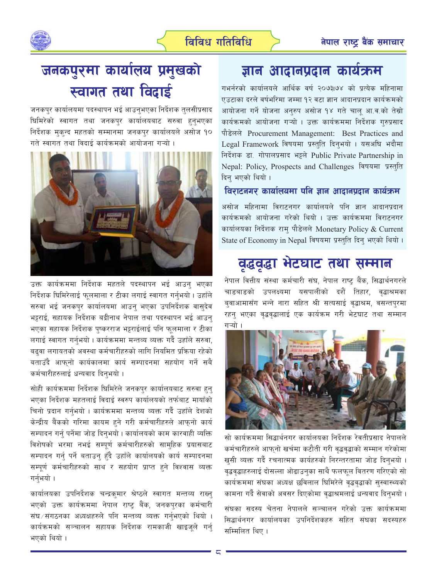

## जनकपुरमा कार्यालय प्रमुखको स्वागत तथा विदाई

जनकपुर कार्यालयमा पदस्थापन भई आउनुभएका निर्देशक तुलसीप्रसाद धिमिरेको स्वागत तथा जनकपुर कार्यालयबाट सरुवा हुनुभएका निर्देशक मुक्न्द महतको सम्मानमा जनकपुर कार्यालयले असोज १० गते स्वागत तथा विदाई कार्यक्रमको आयोजना गऱ्यो ।



उक्त कार्यक्रममा निर्देशक महतले पदस्थापन भई आउन भएका निर्देशक धिमिरेलाई फुलमाला र टीका लगाई स्वागत गर्नभयो। उहाँले सरुवा भई जनकपुर कार्यालयमा आउन् भएका उपनिर्देशक वासुदेव भट्टराई, सहायक निर्देशक बद्रीनाथ नेपाल तथा पदस्थापन भई आउन् भएका सहायक निर्देशक पुष्करराज भट्टराईलाई पनि फुलमाला र टीका लगाई स्वागत गर्नुभयो । कार्यक्रममा मन्तव्य व्यक्त गर्दै उहाँले सरुवा, बढ्वा लगायतको अवस्था कर्मचारीहरुको लागि नियमित प्रक्रिया रहेको बताउँदै आफनो कार्यकालमा कार्य सम्पादनमा सहयोग गर्ने सबै कर्मचारीहरुलाई धन्यवाद दिनुभयो ।

सोही कार्यक्रममा निर्देशक धिमिरेले जनकपुर कार्यालयबाट सरुवा हुन् भएका निर्देशक महतलाई विदाई स्वरुप कार्यालयको तर्फबाट मायाँको चिनो प्रदान गर्नुभयो । कार्यक्रममा मन्तव्य व्यक्त गर्दै उहाँले देशको केन्द्रीय बैंकको गरिमा कायम हुने गरी कर्मचारीहरुले आफुनो कार्य सम्पादन गर्न् पर्नेमा जोड दिनुभयो। कार्यालयको काम कारवाही व्यक्ति विशेषको भरमा नभई सम्पूर्ण कर्मचारीहरुको साम्हिक प्रयासबाट सम्पादन गर्न् पर्ने बताउन् हुँदै उहाँले कार्यालयको कार्य सम्पादनमा सम्पूर्ण कर्मचारीहरुको साथ र सहयोग प्राप्त हुने विश्वास व्यक्त गर्नुभयो ।

कार्यालयका उपनिर्देशक चन्द्रक्**मार श्रेष्ठले स्वागत मन्तव्य रा**ख्न् भएको उक्त कार्यक्रममा नेपाल राष्ट्र बैंक, जनकपुरका कर्मचारी संघ ∕ संगठनका अध्यक्षहरुले पनि मन्तव्य व्यक्त गर्नुभएको थियो । कार्यक्रमको सञ्चालन सहायक निर्देशक रामकाजी खाइजूले गर्नु भएको थियो ।

### ज्ञान आदानप्रदान कार्यक्रम

गभर्नरको कार्यालयले आर्थिक वर्ष २०७३।७४ को प्रत्येक महिनामा एउटाका दरले वर्षभरिमा जम्मा १२ वटा ज्ञान आदानप्रदान कार्यक्रमको आयोजना गर्ने योजना अनरुप असोज १४ गते चाल आ.व.को तेस्रो कार्यक्रमको आयोजना गऱ्यो । उक्त कार्यक्रममा निर्देशक गुरुप्रसाद पौडेलले Procurement Management: Best Practices and Legal Framework विषयमा प्रस्तुति दिन्भयो । यसअघि भदौमा निर्देशक डा. गोपालप्रसाद भट्टले Public Private Partnership in Nepal: Policy, Prospects and Challenges विषयमा प्रस्तुति दिन् भएको थियो ।

### विराटनगर कार्यालयमा पनि ज्ञान आदानप्रदान कार्यक्रम

असोज महिनामा विराटनगर कार्यालयले पनि ज्ञान आदानप्रदान कार्यक्रमको आयोजना गरेको थियो । उक्त कार्यक्रममा विराटनगर कार्यालयका निर्देशक राम पौडेलले Monetary Policy & Current State of Economy in Nepal विषयमा प्रस्तुति दिनु भएको थियो।

### वृद्धवृद्धा भेटघाट तथा सम्मान

नेपाल वित्तीय संस्था कर्मचारी संघ, नेपाल राष्ट्र बैंक, सिद्धार्थनगरले चाडबाडको उपलक्ष्यमा यसपालीको दशैं तिहार, वृद्धाश्रमका बुवाआमासँग भन्ने नारा सहित श्री सत्यसाई वृद्धाश्रम, वसन्तपुरमा रहन् भएका वृद्धवृद्धालाई एक कार्यक्रम गरी भेटघाट तथा सम्मान गऱ्यो ।



सो कार्यक्रममा सिद्धार्थनगर कार्यालयका निर्देशक रेवतीप्रसाद नेपालले कर्मचारीहरुले आफ्नो खर्चमा कटौती गरी वृद्धवृद्धाको सम्मान गरेकोमा खुसी व्यक्त गर्दै रचनात्मक कार्यहरुको निरन्तरतामा जोड दिनुभयो । वृद्धवृद्धाहरुलाई दोसल्ला ओढाउनुका साथै फलफूल वितरण गरिएको सो कार्यक्रममा संघका अध्यक्ष छविलाल घिमिरेले वृद्धवृद्धाको सुस्वास्थ्यको कामना गर्दै सेवाको अवसर दिएकोमा वृद्धाश्रमलाई धन्यवाद दिन्भयो ।

संघका सदस्य चेतना नेपालले सञ्चालन गरेको उक्त कार्यक्रममा सिद्धार्थनगर कार्यालयका उपनिर्देशकहरु सहित संघका सदस्यहरु सम्मिलित थिए।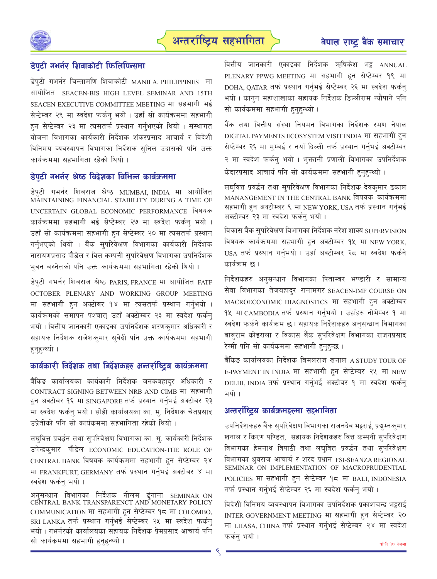



### डेपुटी गभर्नर शिवाकोटी फिलिपिन्समा

डेपुटी गभर्नर चिन्तामणि शिवाकोटी MANILA, PHILIPPINES मा आयोजित SEACEN-BIS HIGH LEVEL SEMINAR AND 15TH SEACEN EXECUTIVE COMMITTEE MEETING मा सहभागी भई सेप्टेम्बर २९ मा स्वदेश फर्कन भयो । उहाँ सो कार्यक्रममा सहभागी हुन सेप्टेम्बर २३ मा त्यसतर्फ प्रस्थान गर्नभएको थियो । संस्थागत योजना विभागका कार्यकारी निर्देशक शंकरप्रसाद आचार्य र विदेशी विनिमय व्यवस्थापन विभागका निर्देशक सनिल उदासको पनि उक्त कार्यक्रममा सहभागिता रहेको थियो ।

### डेपुटी गभर्नर श्रेष्ठ विदेशका विभिन्न कार्यक्रममा

डेपुटी गभर्नर शिबराज श्रेष्ठ MUMBAI, INDIA मा आयोजित MAINTAINING FINANCIAL STABILITY DURING A TIME OF UNCERTAIN GLOBAL ECONOMIC PERFORMANCE विषयक कार्यक्रममा सहभागी भई सेप्टेम्बर २७ मा स्वदेश फर्कन् भयो । उहाँ सो कार्यक्रममा सहभागी हन सेप्टेम्बर २० मा त्यसतर्फ प्रस्थान गर्नभएको थियो । बैंक सुपरिवेक्षण विभागका कार्यकारी निर्देशक नारायणप्रसाद पौडेल र वित्त कम्पनी सुपरिवेक्षण विभागका उपनिर्देशक भुवन बस्नेतको पनि उक्त कार्यक्रममा सहभागिता रहेको थियो ।

डेपटी गभर्नर शिबराज श्रेष्ठ PARIS, FRANCE मा आयोजित FATF OCTOBER PLENARY AND WORKING GROUP MEETING मा सहभागी हुन अक्टोबर १४ मा त्यसतर्फ प्रस्थान गर्नुभयो । कार्यक्रमको समापन पश्चात् उहाँ अक्टोम्बर २३ मा स्वदेश फर्कन् भयो । वित्तीय जानकारी एकाइका उपनिर्देशक शरणक्**मार अधिकारी** र सहायक निर्देशक राजेशकुमार सुवेदी पनि उक्त कार्यक्रममा सहभागी हनहन्थ्यो ।

### कार्यकारी निर्देशक तथा निर्देशकहरु अन्तर्राष्ट्रिय कार्यक्रममा

बैंकिङ कार्यालयका कार्यकारी निर्देशक जनकबहादर अधिकारी र CONTRACT SIGNING BETWEEN NRB AND CIMB मा सहभागी हन अक्टोबर १६ मा SINGAPORE तर्फ प्रस्थान गर्नुभई अक्टोबर २३ मा स्वदेश फर्कन् भयो । सोही कार्यालयका का. म्. निर्देशक चेतप्रसाद उप्रेतीको पनि सो कार्यक्रममा सहभागिता रहेको थियो ।

लघवित्त प्रवर्द्धन तथा सुपरिवेक्षण विभागका का. मु. कार्यकारी निर्देशक उपेन्द्रक्मार पौडेल ECONOMIC EDUCATION-THE ROLE OF CENTRAL BANK विषयक कार्यक्रममा सहभागी हुन सेप्टेम्बर २४ मा FRANKFURT, GERMANY तर्फ प्रस्थान गर्नुभई अक्टोबर ४ मा स्वदेश फर्कन् भयो ।

अनसन्धान विभागका निर्देशक नीलम ढुंगाना SEMINAR ON CENTRAL BANK TRANSPARENCT AND MONETARY POLICY COMMUNICATION मा सहभागी हुन सेप्टेम्बर १८ मा COLOMBO, SRI LANKA तर्फ प्रस्थान गर्नुभई सेप्टेम्बर २५ मा स्वदेश फर्कनु भयो । गभर्नरको कार्यालयका सहायक निर्देशक प्रेमप्रसाद आचार्य पनि सो कार्यक्रममा सहभागी हुनुहुन्थ्यो ।

वित्तीय जानकारी एकाइका निर्देशक ऋषिकेश भट्ट ANNUAL PLENARY PPWG MEETING मा सहभागी हन सेप्टेम्बर १९ मा DOHA, OATAR तर्फ प्रस्थान गर्नभई सेप्टेम्बर २६ मा स्वदेश फर्कन भयो । कानुन महाशाखाका सहायक निर्देशक डिल्लीराम न्यौपाने पनि सो कार्यक्रममा सहभागी हुनुहुन्थ्यो ।

बैंक तथा वित्तीय संस्था नियमन विभागका निर्देशक रमण नेपाल DIGITAL PAYMENTS ECOSYSTEM VISIT INDIA मा सहभागी हुन सेप्टेम्बर २६ मा मुम्बई र नयाँ दिल्ली तर्फ प्रस्थान गर्नुभई अक्टोम्बर २ मा स्वदेश फर्कन भयो । भुक्तानी प्रणाली विभागका उपनिर्देशक केदारप्रसाद आचार्य पनि सो कार्यकममा सहभागी हुनुहुन्थ्यो ।

लघवित्त प्रवर्द्धन तथा सुपरिवेक्षण विभागका निर्देशक देवकमार ढकाल MANANGEMENT IN THE CENTRAL BANK विषयक कार्यक्रममा सहभागी हुन अक्टोम्बर ९ मा NEW YORK, USA तर्फ प्रस्थान गर्नुभई अक्टोम्बर २३ मा स्वदेश फर्कन् भयो।

विकास बैंक सुपरिवेक्षण विभागका निर्देशक नरेश शाक्य SUPERVISION विषयक कार्यक्रममा सहभागी हन अक्टोम्बर १५ मा NEW YORK, USA तर्फ प्रस्थान गर्नुभयो । उहाँ अक्टोम्बर २८ मा स्वदेश फर्कने कार्यक्रम छ ।

निर्देशकहरु अनुसन्धान विभागका पिताम्बर भण्डारी र सामान्य सेवा विभागका तेजबहादुर रानामगर SEACEN-IMF COURSE ON MACROECONOMIC DIAGNOSTICS मा सहभागी हुन अक्टोम्बर १५ मा CAMBODIA तर्फ प्रस्थान गर्नुभयो । उहाँहरु नोभेम्बर १ मा स्वदेश फर्कने कार्यक्रम छ । सहायक निर्देशकहरु अनुसन्धान विभागका बाबराम कोइराला र विकास बैंक सपरिवेक्षण विभागका राजनप्रसाद रेग्मी पनि सो कार्यक्रममा सहभागी हुनुहुन्छ ।

बैंकिङ कार्यालयका निर्देशक बिमलराज खनाल ASTUDY TOUR OF E-PAYMENT IN INDIA मा सहभागी हुन सेप्टेम्बर २५ मा NEW DELHI, INDIA तर्फ प्रस्थान गर्नभई अक्टोबर १ मा स्वदेश फर्कन भयो ।

### अन्तर्राष्ट्रिय कार्यक्रमहरुमा सहभागिता

उपनिर्देशकहरु बैंक सपरिवेक्षण विभागका राजनदेव भट्टराई, प्रद्यम्नकमार खनाल र किरण पण्डित, सहायक निर्देशकहरु वित्त कम्पनी सुपरिवेक्षण विभागका हेमनाथ त्रिपाठी तथा लघुवित्त प्रवर्द्धन तथा सुपरिवेक्षण विभागका ध्रुवराज आचार्य र शरद प्रधान FSI-SEANZA REGIONAL SEMINAR ON IMPLEMENTATION OF MACROPRUDENTIAL POLICIES मा सहभागी हुन सेप्टेम्बर १८ मा BALI, INDONESIA तर्फ प्रस्थान गर्नुभई सेप्टेम्बर २६ मा स्वदेश फर्कन् भयो ।

विदेशी विनिमय व्यवस्थापन विभागका उपनिर्देशक प्रकाशचन्द्र भट्टराई INTER GOVERNMENT MEETING मा सहभागी हन सेप्टेम्बर २० मा LHASA, CHINA तर्फ प्रस्थान गर्नुभई सेप्टेम्बर २४ मा स्वदेश फर्कन् भयो ।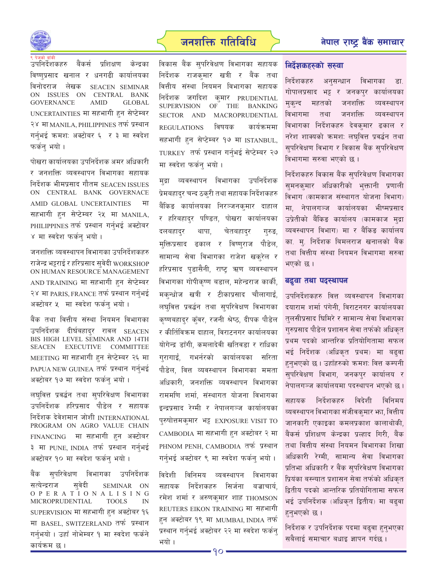

### जनशक्ति गतिविधि $\qquad \qquad$ बेगाल राष्ट बैंक समाचार

उपनिर्देशकहरु बैंकर्स प्रशिक्षण केन्द्रका विष्णप्रसाद खनाल र धनगढी कार्यालयक<u>ा</u> विनोदराज लेखक SEACEN SEMINAR ON ISSUES ON CENTRAL BANK GOVERNANCE AMID GLOBAL UNCERTAINTIES मा सहभागी हुन सेप्टेम्बर २४ मा MANILA, PHILIPPINES तर्फ प्रस्थान गर्नभई क्रमश: अक्टोबर ६ र ३ मा स्वदेश फर्कन भयो ।

पोखरा कार्यालयका उपनिर्देशक अमर अधिकारी र जनशक्ति व्यवस्थापन विभागका सहायक निर्देशक भीमप्रसाद गौतम $\,$  SEACEN ISSUES  $\,$ ON CENTRAL BANK GOVERNACE AMID GLOBAL UNCERTAINTIES df सहभागी हुन सेप्टेम्बर २५ मा MANILA, PHILIPPINES तर्फ प्रस्थान गर्नभई अक्टोबर ४ मा स्वदेश फर्कन भयो ।

जनशक्ति व्यवस्थापन विभागका उपनिर्देशकहरु राजेन्द्र भट्टराई र हरिप्रसाद सवेदी WORKSHOP ON HUMAN RESOURCE MANAGEMENT AND TRAINING मा सहभागी हुन सेप्टेम्बर २४ मा PARIS, FRANCE तर्फ प्रस्थान गर्नभई अक्टोबर ५ मा स्वदेश फर्कन भयो ।

बैंक तथा वित्तीय संस्था नियमन विभागका उपनिर्देशक दीर्घबहादर रावल SEACEN BIS HIGH LEVEL SEMINAR AND 14TH SEACEN EXECUTIVE COMMITTEE MEETING मा सहभागी हन सेप्टेम्बर २६ मा PAPUA NEW GUINEA तर्फ प्रस्थान गर्नभई अक्टोबर १७ मा स्वदेश फर्कन् भयो ।

लघवित्त प्रवर्द्धन तथा सुपरिवेक्षण विभागका उपनिर्देशक हरिप्रसाद पौडेल र सहायक निर्देशक देवेशमान जोशी INTERNATIONAL PROGRAM ON AGRO VALUE CHAIN  $FINANCING$  मा सहभागी हन अक्टोबर ३ मा PUNE, INDIA तर्फ प्रस्थान गर्न्भई अक्टोबर १० मा स्वदेश फर्कन भयो ।

बैंक सुपरिवेक्षण विभागका उपनिर्देशक सत्येन्द्रराज सुवेदी SEMINAR ON OPERA T I O N A L I S I N G MICROPRUDENTIAL TOOLS IN  $SUPERVISION$  मा सहभागी हन अक्टोबर १६ मा BASEL, SWITZERLAND तर्फ प्रस्थान गर्नभयो । उहाँ नोभेम्बर १ मा स्वदेश फर्कने कार्यक्रम छ ।

विकास बैंक सुपरिवेक्षण विभागका सहायक निर्देशक राजकमार खत्री र बैंक तथा वित्तीय संस्था नियमन विभागका सहायक  $\widehat{z}$ शक जगदिश कमार PRUDENTIAL SUPERVISION OF THE BANKING SECTOR AND MACROPRUDENTIAL  $REGULATIONS$  विषयक कार्यक्रममा सहभागी हन सेप्टेम्बर १७ मा ISTANBUL, TURKEY तर्फ प्रस्थान गर्नभई सेप्टेम्बर २७ मा स्वदेश फर्कन भयो।

मुद्रा व्यवस्थापन विभागका उपनिर्देशक प्रेमबहादुर चन्द ठकुरी तथा सहायक निर्देशकहरु बैंकिङ कार्यालयका निरञ्जनकमार दाहाल र हरिबहादर पण्डित, पोखरा कार्यालयका दलबहादर थापा. चेतबहादर गरुङ, मक्तिप्रसाद ढकाल र विष्णराज पौडेल, सामान्य सेवा विभागका राजेश खकरेल र हरिप्रसाद पडासैनी, राष्ट ऋण व्यवस्थापन विभागका गोपीकष्ण बडाल, महेन्द्रराज कार्की, मकन्धोज खत्री र टीकाप्रसाद चौलागाई, लघवित्त प्रवर्द्धन तथा सुपरिवेक्षण विभागका कृष्णबहादर क्ँवर, रजनी श्रेष्ठ, दीपक पौडेल र कीर्तिविक्रम दाहाल, विराटनगर कार्यालयका योगेन्द्र डाँगी. कमलादेवी खतिवडा र राधिका गरागाई. गभर्नरको कार्यालयका सरिता पौडेल, वित्त व्यवस्थापन विभागका ममता अधिकारी. जनशक्ति व्यवस्थापन विभागका राममणि शर्मा, संस्थागत योजना विभागका इन्द्रप्रसाद रेग्मी र नेपालगञ्ज कार्यालयका पुरुषोत्तमकुमार भट्ट EXPOSURE VISIT TO CAMBODIA मा सहभागी हन अक्टोबर २ मा PHNOM PENH, CAMBODIA तर्फ प्रस्थान गर्नुभई अक्टोबर ९ मा स्वदेश फर्कन् भयो ।

विदेशी विनिमय व्यवस्थापन विभागका सहायक निर्देशकहरु सिर्जना बज्राचार्य. रमेश शर्मा र अरुणकुमार शाह THOMSON REUTERS EIKON TRAINING मा सहभागी हन अक्टोबर १९ मा MUMBAI, INDIA तर्फ प्रस्थान गर्नुभई अक्टोबर २२ मा स्वदेश फर्कन् भयो ।

### **निर्देशकहरुको सरुवा**

निर्देशकहरु अनुसन्धान विभागका डा. गोपालप्रसाद भट्ट र जनकपर कार्यालयका मुकन्द महतको जनशक्ति व्यवस्थापन विभागमा तथा जनशक्ति व्यवस्थापन विभागका निर्देशकहरु देवकमार ढकाल र नरेश शाक्यको क्रमश: लघवित्त प्रवर्द्धन तथा सुपरिवेक्षण विभाग र विकास बैंक सुपरिवेक्षण विभागमा सुरुवा भएको छ।

निर्देशकहरु विकास बैंक सुपरिवेक्षण विभागका सुमनकुमार अधिकारीको भुक्तानी प्रणाली विभाग (कामकाज संस्थागत योजना विभाग) मा. नेपालगञ्ज कार्यालयका भीष्मप्रसाद उप्रेतीको बैंकिङ कार्यालय (कामकाज मुद्रा व्यवस्थापन विभाग) मा र बैंकिङ कार्यालय का, म, निर्देशक बिमलराज खनालको बैंक तथा वित्तीय संस्था नियमन विभागमा सरुवा भएको छ ।

### बढ्वा तथा पदस्थापन

उपनिर्देशकहरु वित्त व्यवस्थापन विभागका दयाराम शर्मा पंगेनी. विराटनगर कार्यालयका तुलसीप्रसाद घिमिरे र सामान्य सेवा विभागका गरुप्रसाद पौडेल प्रशासन सेवा तर्फको अधिकत प्रथम पदको आन्तरिक प्रतियोगितामा सफल भई निर्देशक (अधिकृत प्रथम) मा बढ्वा हनभएको छ। उहाँहरुको क्रमश: वित्त कम्पनी सुपरिवेक्षण विभाग, जनकपुर कार्यालय र नेपालगञ्ज कार्यालयमा पदस्थापन भएको छ।

सहायक निर्देशकहरु विदेशी विनिमय व्यवस्थापन विभागका संजीवकमार भा. वित्तीय जानकारी एकाइका कमलप्रकाश कालाथोकी, बैंकर्स प्रशिक्षण केन्द्रका प्रत्हाद गिरी, बैंक तथा वित्तीय संस्था नियमन विभागका शिखा अधिकारी रेग्मी, सामान्य सेवा विभागका प्रतिभा अधिकारी र बैंक सुपरिवेक्षण विभागका प्रियंका बस्न्यात प्रशासन सेवा तर्फको अधिकृत द्वितीय पदको आन्तरिक प्रतियोगितामा सफल भई उपनिर्देशक (अधिकृत द्वितीय) मा बढ्वा हन्भएको छ ।

निर्देशक र उपनिर्देशक पदमा बढ्वा हुनुभएका सबैलाई समाचार बधाइ ज्ञापन गर्दछ ।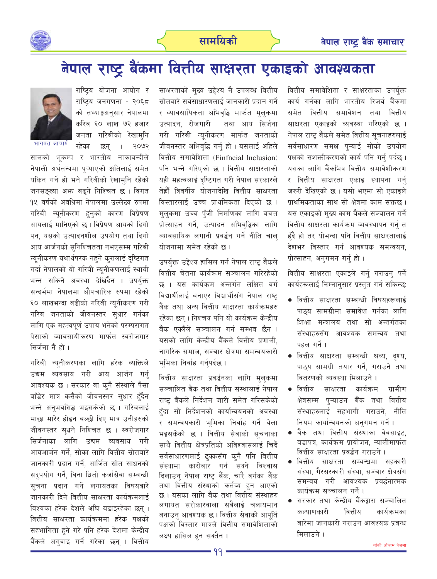

## नेपाल राष्ट्र बैंकमा वित्तीय साक्षरता एकाइको आवश्यकता

वित्तीय समावेशिता र साक्षरताका उपर्युक्त कार्य गर्नका लागि भारतीय रिजर्व बैंकमा समेत वित्तीय समावेशन तथा वित्तीय साक्षरता एकाइको व्यवस्था गरिएको छ । नेपाल राष्ट बैंकले समेत वित्तीय सूचनाहरुलाई सर्वसाधारण समक्ष पुऱ्याई सोको उपयोग पक्षको सशक्तीकरणको कार्य पनि गर्नु पर्दछ । यसका लागि बैंकभित्र वित्तीय समावेशीकरण र वित्तीय साक्षरता एकाइ स्थापना गर्न जरुरी देखिएको छ । यसो भएमा सो एकाइले प्राथमिकताका साथ सो क्षेत्रमा काम सक्तछ । यस एकाइको मुख्य काम बैंकले सञ्चालन गर्ने वित्तीय साक्षरता कार्यक्रम व्यवस्थापन गर्नु त हँदै हो तर योभन्दा पनि वित्तीय साक्षरतालाई देशभर विस्तार गर्न आवश्यक समन्वयन. प्रोत्साहन, अनुगमन गर्नु हो।

वित्तीय साक्षरता एकाइले गर्न गराउन पर्ने कार्यहरूलाई निम्नानुसार प्रस्तुत गर्न सकिन्छ:

- वित्तीय साक्षरता सम्बन्धी विषयहरूलाई पाठय सामग्रीमा समावेश गर्नका लागि शिक्षा मन्त्रालय तथा सो अन्तर्गतका संस्थाहरुसँग आवश्यक समन्वय तथा पहल गर्ने ।
- वित्तीय साक्षरता सम्बन्धी श्रव्य, दृश्य, पाठ्य सामग्री तयार गर्ने, गराउने तथा वितरणको व्यवस्था मिलाउने।
- वित्तीय साक्षरता कार्यक्रम ग्रामीण क्षेत्रसम्म प्ऱ्याउन बैंक तथा वित्तीय संस्थाहरुलाई सहभागी गराउने, नीति नियम कार्यान्वयनको अनुगमन गर्ने ।
- बैंक तथा वित्तीय संस्थाका वेवसाइट, बडापत्र, कार्यक्रम प्रायोजन, ऱ्यालीमार्फत वित्तीय साक्षरता प्रवर्द्धन गराउने ।
- वित्तीय साक्षरता सम्बन्धमा सहकारी संस्था. गैरसरकारी संस्था. सञ्चार क्षेत्रसँग समन्वय गरी आवश्यक प्रवर्द्धनात्मक कार्यक्रम सञ्चालन गर्ने ।
- सरकार तथा केन्द्रीय बैंकद्वारा सञ्चालित कल्याणकारी वित्तीय कार्यक्रमका बारेमा जानकारी गराउन आवश्यक प्रबन्ध मिलाउने ।

साक्षरताको मुख्य उद्देश्य नै उपलब्ध वित्तीय स्रोतबारे सर्वसाधारणलाई जानकारी प्रदान गर्ने र व्यावसायिकता अभिवृद्धि मार्फत मुलुकमा उत्पादन, रोजगारी तथा आय सिर्जना गरी गरिबी न्युनीकरण मार्फत जनताको जीवनस्तर अभिवृद्धि गर्नु हो । यसलाई अहिले वित्तीय समावेशिता (Finfncial Inclusion) पनि भन्ने गरिएको छ । वित्तीय साक्षरताको यही महत्वलाई दष्टिगत गरी नेपाल सरकारले तेह्रौँ त्रिवर्षीय योजनादेखि वित्तीय साक्षरता विस्तारलाई उच्च प्राथमिकता दिएको छ । मुलुकमा उच्च पुँजी निर्माणका लागि बचत प्रोत्साहन गर्ने, उत्पादन अभिवृद्धिका लागि व्यावसायिक लगानी प्रवर्द्धन गर्ने नीति चाल योजनामा समेत रहेको छ।

उपर्युक्त उद्देश्य हासिल गर्न नेपाल राष्ट् बैंकले वित्तीय चेतना कार्यक्रम सञ्चालन गरिरहेको छ । यस कार्यक्रम अन्तर्गत लक्षित वर्ग विद्यार्थीलाई बनाएर विद्यार्थीसँग नेपाल राष्ट बैंक तथा अन्य वित्तीय साक्षरता कार्यक्रमहरु रहेका छन्। निश्चय पनि यो कार्यक्रम केन्द्रीय बैंक एक्लैले सञ्चालन गर्न सम्भव छैन । यसको लागि केन्द्रीय बैंकले वित्तीय प्रणाली. नागरिक समाज, सञ्चार क्षेत्रमा समन्वयकारी भूमिका निर्वाह गर्नुपर्दछ ।

वित्तीय साक्षरता प्रवर्द्धनका लागि मलकमा सञ्चालित बैंक तथा वित्तीय संस्थालाई नेपाल राष्ट् बैंकले निर्देशन जारी समेत गरिसकेको हुँदा सो निर्देशनको कार्यान्वयनको अवस्था र समन्वयकारी भूमिका निर्वाह गर्ने बेला भइसकेको छ । वित्तीय सेवाको सचनाका साथै वित्तीय क्षेत्रप्रतिको अविश्वासलाई चिर्दै सर्वसाधारणलाई ढुक्कसँग कुनै पनि वित्तीय संस्थामा कारोबार गर्न सक्ने विश्वास दिलाउन नेपाल राष्ट बैंक, चारै वर्गका बैंक तथा वित्तीय संस्थाको कर्तव्य हुन आएको छ। यसका लागि बैंक तथा वित्तीय संस्थाहरु लगायत सरोकारवाला सबैलाई चलायमान बनाउन आवश्यक छ । वित्तीय सेवाको आपति पक्षको विस्तार मात्रले वित्तीय समावेशिताको लक्ष्य हासिल हन सक्तैन ।

राष्ट्रिय योजना आयोग र राष्ट्रिय जनगणना - २०६८ को तथ्याङ्गअनसार नेपालमा करिव ६० लाख ७२ हजार जनता गरिबीको रेखामनि रहेका



भागवत आचार्य

२०७२ छन सालको भूकम्प र भारतीय नाकाबन्दीले नेपाली अर्थतन्त्रमा पऱ्याएको क्षतिलाई समेत यकिन गर्ने हो भने गरिबीको रेखामनि रहेको जनसङ्ख्या अभ्रु बढ्ने निश्चित छ । विगत १५ वर्षको अवधिमा नेपालमा उल्लेख्य रुपमा गरिबी न्यूनीकरण हुनुको कारण विप्रेषण आयलाई मानिएको छ। विप्रेषण आयको दिगो पन, यसको उत्पादनशील उपयोग तथा दिगो आय आर्जनको सुनिश्चितता नभएसम्म गरिबी न्यूनीकरण यथार्थपरक नहने कुरालाई दृष्टिगत गर्दा नेपालको यो गरिबी न्युनीकणलाई स्थायी भन्न सकिने अवस्था देखिँदैन । उपर्युक्त सन्दर्भमा नेपालमा औपचारिक रुपमा रहेको ६० लाखभन्दा बढीको गरिबी न्यूनीकरण गरी गरिब जनताको जीवनस्तर सुधार गर्नका लागि एक महत्वपूर्ण उपाय भनेको परम्परागत पेसाको व्यावसायीकरण मार्फत स्वरोजगार सिर्जना नै हो ।

गरिबी न्युनीकरणका लागि हरेक व्यक्तिले उद्यम व्यवसाय गरी आय आर्जन गर्न् आवश्यक छ । सरकार वा क्नै संस्थाले पैसा बाँडेर मात्र कसैको जीवनस्तर सुधार हँदैन भन्ने अनुभवसिद्ध भइसकेको छ । गरिबलाई माछा मारेर होइन बल्छी दिए मात्र उनीहरुको जीवनस्तर सुधने निश्चित छ । स्वरोजगार सिर्जनाका लागि उद्यम व्यवसाय गरी आयआर्जन गर्ने, सोका लागि वित्तीय स्रोतबारे जानकारी प्रदान गर्ने, आर्जित स्रोत साधनको सदुपयोग गर्ने, विना धितो कर्जासेवा सम्बन्धी सचना प्रदान गर्ने लगायतका विषयबारे जानकारी दिने वित्तीय साक्षरता कार्यक्रमलाई विश्वका हरेक देशले अघि बढाइरहेका छन् । वित्तीय साक्षरता कार्यक्रममा हरेक पक्षको सहभागिता हुने गरे पनि हरेक देशमा केन्द्रीय बैंकले अगुवाइ गर्ने गरेका छन् । वित्तीय